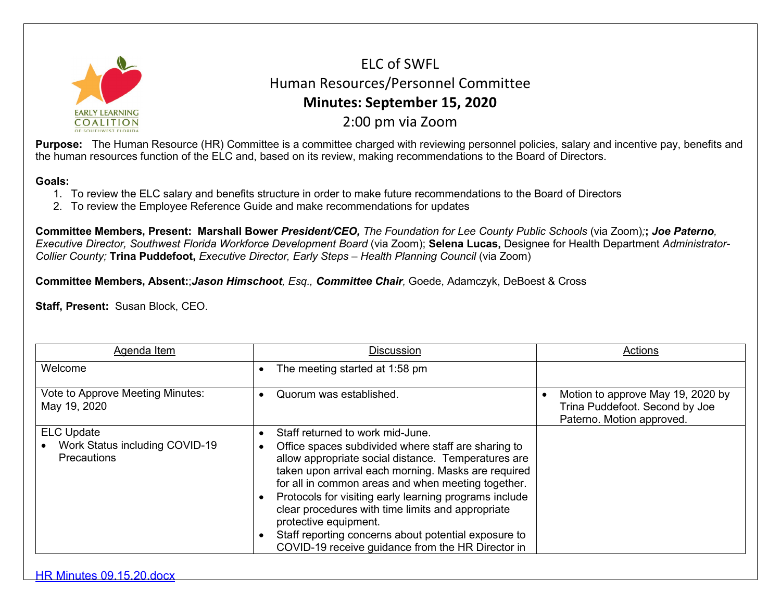

ELC of SWFL Human Resources/Personnel Committee **Minutes: September 15, 2020** 2:00 pm via Zoom

**Purpose:** The Human Resource (HR) Committee is a committee charged with reviewing personnel policies, salary and incentive pay, benefits and the human resources function of the ELC and, based on its review, making recommendations to the Board of Directors.

## **Goals:**

- 1. To review the ELC salary and benefits structure in order to make future recommendations to the Board of Directors
- 2. To review the Employee Reference Guide and make recommendations for updates

**Committee Members, Present: Marshall Bower** *President/CEO, The Foundation for Lee County Public Schools* (via Zoom)*;***;** *Joe Paterno, Executive Director, Southwest Florida Workforce Development Board* (via Zoom); **Selena Lucas,** Designee for Health Department *Administrator-Collier County;* **Trina Puddefoot,** *Executive Director, Early Steps – Health Planning Council* (via Zoom)

**Committee Members, Absent:**;*Jason Himschoot, Esq., Committee Chair,* Goede, Adamczyk, DeBoest & Cross

**Staff, Present:** Susan Block, CEO.

| Agenda Item                                                               | <b>Discussion</b>                                                                                                                                                                                                                                                                                                                                                                                                                                                                                                | Actions                                                                                          |
|---------------------------------------------------------------------------|------------------------------------------------------------------------------------------------------------------------------------------------------------------------------------------------------------------------------------------------------------------------------------------------------------------------------------------------------------------------------------------------------------------------------------------------------------------------------------------------------------------|--------------------------------------------------------------------------------------------------|
| Welcome                                                                   | The meeting started at 1:58 pm                                                                                                                                                                                                                                                                                                                                                                                                                                                                                   |                                                                                                  |
| Vote to Approve Meeting Minutes:<br>May 19, 2020                          | Quorum was established.                                                                                                                                                                                                                                                                                                                                                                                                                                                                                          | Motion to approve May 19, 2020 by<br>Trina Puddefoot. Second by Joe<br>Paterno. Motion approved. |
| <b>ELC Update</b><br>Work Status including COVID-19<br><b>Precautions</b> | Staff returned to work mid-June.<br>Office spaces subdivided where staff are sharing to<br>allow appropriate social distance. Temperatures are<br>taken upon arrival each morning. Masks are required<br>for all in common areas and when meeting together.<br>Protocols for visiting early learning programs include<br>clear procedures with time limits and appropriate<br>protective equipment.<br>Staff reporting concerns about potential exposure to<br>COVID-19 receive guidance from the HR Director in |                                                                                                  |